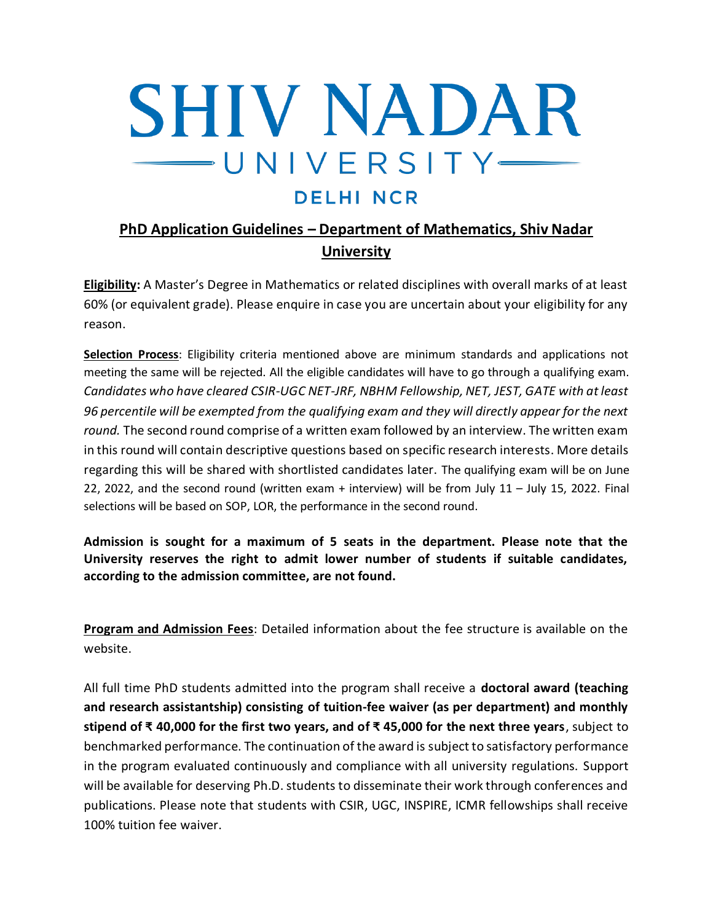## **SHIV NADAR** UNIVERSITY-

## **DELHI NCR**

## **PhD Application Guidelines – Department of Mathematics, Shiv Nadar University**

**Eligibility:** A Master's Degree in Mathematics or related disciplines with overall marks of at least 60% (or equivalent grade). Please enquire in case you are uncertain about your eligibility for any reason.

**Selection Process**: Eligibility criteria mentioned above are minimum standards and applications not meeting the same will be rejected. All the eligible candidates will have to go through a qualifying exam. *Candidates who have cleared CSIR-UGC NET-JRF, NBHM Fellowship, NET, JEST, GATE with at least 96 percentile will be exempted from the qualifying exam and they will directly appear for the next round.* The second round comprise of a written exam followed by an interview. The written exam in this round will contain descriptive questions based on specific research interests. More details regarding this will be shared with shortlisted candidates later. The qualifying exam will be on June 22, 2022, and the second round (written exam + interview) will be from July 11 – July 15, 2022. Final selections will be based on SOP, LOR, the performance in the second round.

**Admission is sought for a maximum of 5 seats in the department. Please note that the University reserves the right to admit lower number of students if suitable candidates, according to the admission committee, are not found.**

**Program and Admission Fees**: Detailed information about the fee structure is available on the website.

All full time PhD students admitted into the program shall receive a **doctoral award (teaching and research assistantship) consisting of tuition-fee waiver (as per department) and monthly stipend of ₹ 40,000 for the first two years, and of ₹ 45,000 for the next three years**, subject to benchmarked performance. The continuation of the award is subject to satisfactory performance in the program evaluated continuously and compliance with all university regulations. Support will be available for deserving Ph.D. students to disseminate their work through conferences and publications. Please note that students with CSIR, UGC, INSPIRE, ICMR fellowships shall receive 100% tuition fee waiver.